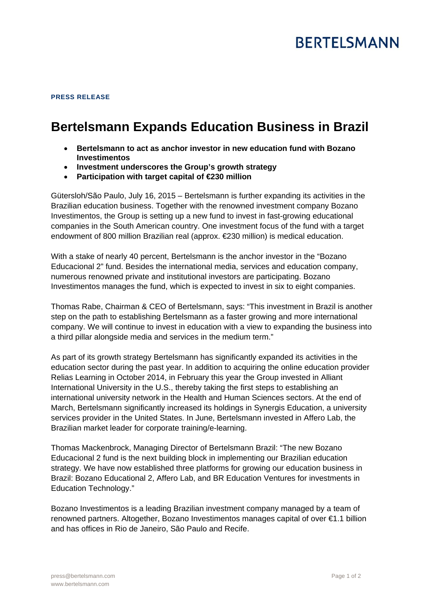## **BERTELSMANN**

**PRESS RELEASE** 

## **Bertelsmann Expands Education Business in Brazil**

- **Bertelsmann to act as anchor investor in new education fund with Bozano Investimentos**
- **Investment underscores the Group's growth strategy**
- **Participation with target capital of €230 million**

Gütersloh/São Paulo, July 16, 2015 – Bertelsmann is further expanding its activities in the Brazilian education business. Together with the renowned investment company Bozano Investimentos, the Group is setting up a new fund to invest in fast-growing educational companies in the South American country. One investment focus of the fund with a target endowment of 800 million Brazilian real (approx. €230 million) is medical education.

With a stake of nearly 40 percent, Bertelsmann is the anchor investor in the "Bozano Educacional 2" fund. Besides the international media, services and education company, numerous renowned private and institutional investors are participating. Bozano Investimentos manages the fund, which is expected to invest in six to eight companies.

Thomas Rabe, Chairman & CEO of Bertelsmann, says: "This investment in Brazil is another step on the path to establishing Bertelsmann as a faster growing and more international company. We will continue to invest in education with a view to expanding the business into a third pillar alongside media and services in the medium term."

As part of its growth strategy Bertelsmann has significantly expanded its activities in the education sector during the past year. In addition to acquiring the online education provider Relias Learning in October 2014, in February this year the Group invested in Alliant International University in the U.S., thereby taking the first steps to establishing an international university network in the Health and Human Sciences sectors. At the end of March, Bertelsmann significantly increased its holdings in Synergis Education, a university services provider in the United States. In June, Bertelsmann invested in Affero Lab, the Brazilian market leader for corporate training/e-learning.

Thomas Mackenbrock, Managing Director of Bertelsmann Brazil: "The new Bozano Educacional 2 fund is the next building block in implementing our Brazilian education strategy. We have now established three platforms for growing our education business in Brazil: Bozano Educational 2, Affero Lab, and BR Education Ventures for investments in Education Technology."

Bozano Investimentos is a leading Brazilian investment company managed by a team of renowned partners. Altogether, Bozano Investimentos manages capital of over €1.1 billion and has offices in Rio de Janeiro, São Paulo and Recife.